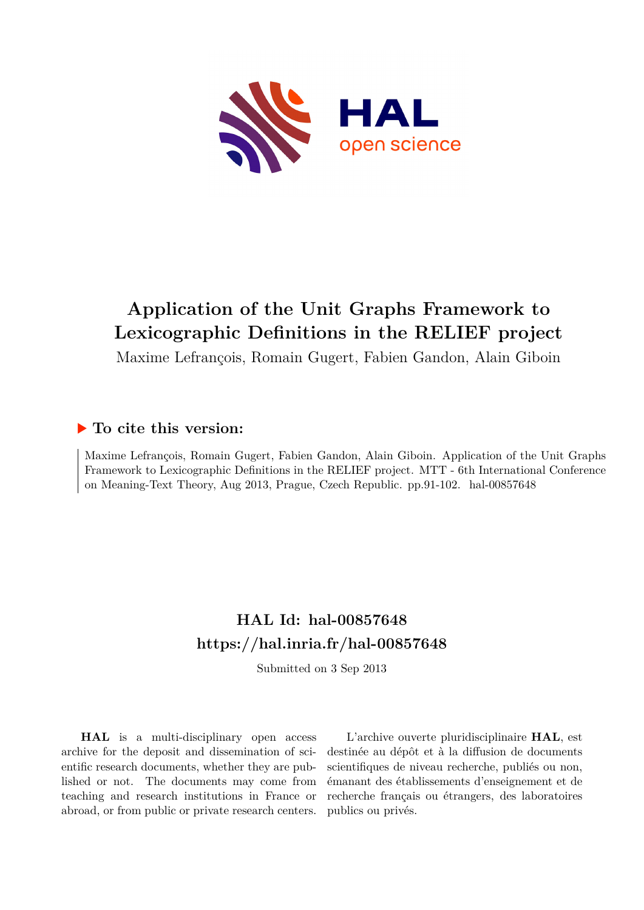

# **Application of the Unit Graphs Framework to Lexicographic Definitions in the RELIEF project**

Maxime Lefrançois, Romain Gugert, Fabien Gandon, Alain Giboin

### **To cite this version:**

Maxime Lefrançois, Romain Gugert, Fabien Gandon, Alain Giboin. Application of the Unit Graphs Framework to Lexicographic Definitions in the RELIEF project. MTT - 6th International Conference on Meaning-Text Theory, Aug 2013, Prague, Czech Republic. pp.91-102. hal-00857648

## **HAL Id: hal-00857648 <https://hal.inria.fr/hal-00857648>**

Submitted on 3 Sep 2013

**HAL** is a multi-disciplinary open access archive for the deposit and dissemination of scientific research documents, whether they are published or not. The documents may come from teaching and research institutions in France or abroad, or from public or private research centers.

L'archive ouverte pluridisciplinaire **HAL**, est destinée au dépôt et à la diffusion de documents scientifiques de niveau recherche, publiés ou non, émanant des établissements d'enseignement et de recherche français ou étrangers, des laboratoires publics ou privés.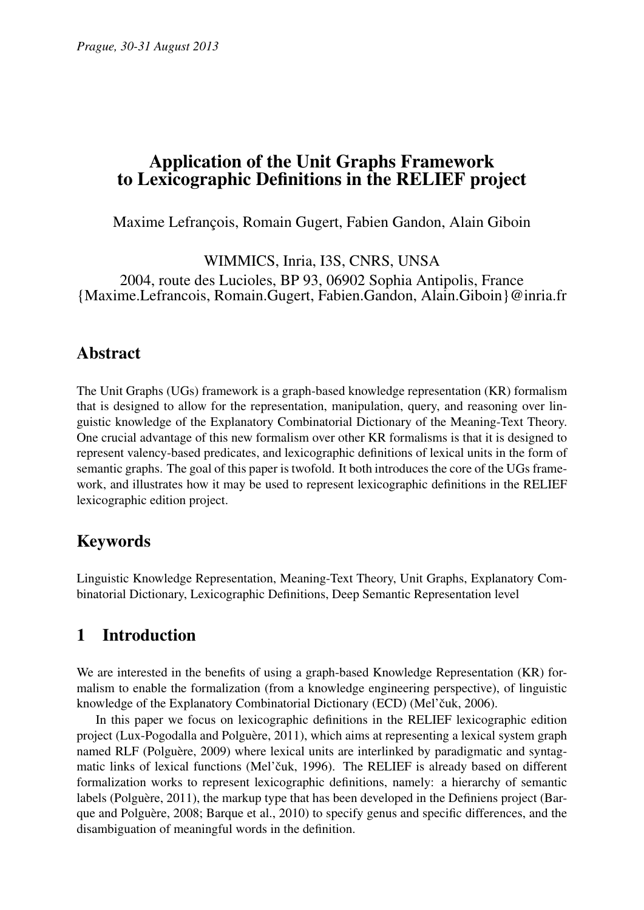## Application of the Unit Graphs Framework to Lexicographic Definitions in the RELIEF project

Maxime Lefrançois, Romain Gugert, Fabien Gandon, Alain Giboin

WIMMICS, Inria, I3S, CNRS, UNSA 2004, route des Lucioles, BP 93, 06902 Sophia Antipolis, France {Maxime.Lefrancois, Romain.Gugert, Fabien.Gandon, Alain.Giboin}@inria.fr

### Abstract

The Unit Graphs (UGs) framework is a graph-based knowledge representation (KR) formalism that is designed to allow for the representation, manipulation, query, and reasoning over linguistic knowledge of the Explanatory Combinatorial Dictionary of the Meaning-Text Theory. One crucial advantage of this new formalism over other KR formalisms is that it is designed to represent valency-based predicates, and lexicographic definitions of lexical units in the form of semantic graphs. The goal of this paper is twofold. It both introduces the core of the UGs framework, and illustrates how it may be used to represent lexicographic definitions in the RELIEF lexicographic edition project.

## Keywords

Linguistic Knowledge Representation, Meaning-Text Theory, Unit Graphs, Explanatory Combinatorial Dictionary, Lexicographic Definitions, Deep Semantic Representation level

## 1 Introduction

We are interested in the benefits of using a graph-based Knowledge Representation (KR) formalism to enable the formalization (from a knowledge engineering perspective), of linguistic knowledge of the Explanatory Combinatorial Dictionary (ECD) (Mel'čuk, 2006).

In this paper we focus on lexicographic definitions in the RELIEF lexicographic edition project (Lux-Pogodalla and Polguère, 2011), which aims at representing a lexical system graph named RLF (Polguère, 2009) where lexical units are interlinked by paradigmatic and syntagmatic links of lexical functions (Mel'čuk, 1996). The RELIEF is already based on different formalization works to represent lexicographic definitions, namely: a hierarchy of semantic labels (Polguère, 2011), the markup type that has been developed in the Definiens project (Barque and Polguère, 2008; Barque et al., 2010) to specify genus and specific differences, and the disambiguation of meaningful words in the definition.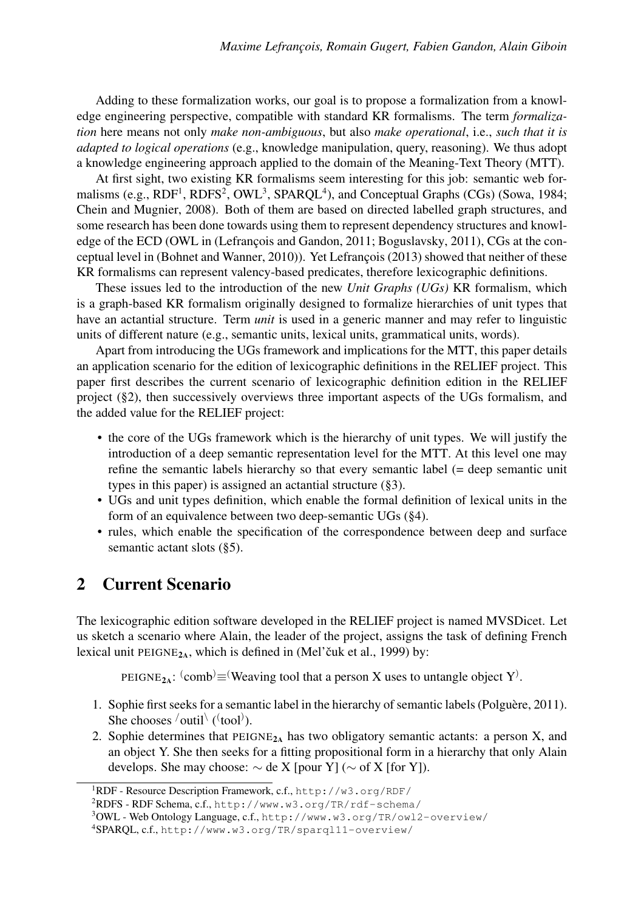Adding to these formalization works, our goal is to propose a formalization from a knowledge engineering perspective, compatible with standard KR formalisms. The term *formalization* here means not only *make non-ambiguous*, but also *make operational*, i.e., *such that it is adapted to logical operations* (e.g., knowledge manipulation, query, reasoning). We thus adopt a knowledge engineering approach applied to the domain of the Meaning-Text Theory (MTT).

At first sight, two existing KR formalisms seem interesting for this job: semantic web formalisms (e.g.,  $RDF<sup>1</sup>$ ,  $RDFS<sup>2</sup>$ ,  $OWL<sup>3</sup>$ ,  $SPARQL<sup>4</sup>$ ), and Conceptual Graphs (CGs) (Sowa, 1984; Chein and Mugnier, 2008). Both of them are based on directed labelled graph structures, and some research has been done towards using them to represent dependency structures and knowledge of the ECD (OWL in (Lefrançois and Gandon, 2011; Boguslavsky, 2011), CGs at the conceptual level in (Bohnet and Wanner, 2010)). Yet Lefrançois (2013) showed that neither of these KR formalisms can represent valency-based predicates, therefore lexicographic definitions.

These issues led to the introduction of the new *Unit Graphs (UGs)* KR formalism, which is a graph-based KR formalism originally designed to formalize hierarchies of unit types that have an actantial structure. Term *unit* is used in a generic manner and may refer to linguistic units of different nature (e.g., semantic units, lexical units, grammatical units, words).

Apart from introducing the UGs framework and implications for the MTT, this paper details an application scenario for the edition of lexicographic definitions in the RELIEF project. This paper first describes the current scenario of lexicographic definition edition in the RELIEF project (§2), then successively overviews three important aspects of the UGs formalism, and the added value for the RELIEF project:

- the core of the UGs framework which is the hierarchy of unit types. We will justify the introduction of a deep semantic representation level for the MTT. At this level one may refine the semantic labels hierarchy so that every semantic label (= deep semantic unit types in this paper) is assigned an actantial structure (§3).
- UGs and unit types definition, which enable the formal definition of lexical units in the form of an equivalence between two deep-semantic UGs (§4).
- rules, which enable the specification of the correspondence between deep and surface semantic actant slots (§5).

### 2 Current Scenario

The lexicographic edition software developed in the RELIEF project is named MVSDicet. Let us sketch a scenario where Alain, the leader of the project, assigns the task of defining French lexical unit PEIGNE<sub>2A</sub>, which is defined in (Mel'c<sup>uk</sup> et al., 1999) by:

PEIGNE<sub>2A</sub>:  $\text{(comb)} \equiv \text{(Weaving tool that a person X uses to untangle object Y)}.$ 

- 1. Sophie first seeks for a semantic label in the hierarchy of semantic labels (Polguère, 2011). She chooses  $\overline{\text{1}}$  ( $\text{1}$  ( $\text{1}$  ( $\text{1}$ ).
- 2. Sophie determines that  $PEIGNE<sub>2A</sub>$  has two obligatory semantic actants: a person X, and an object Y. She then seeks for a fitting propositional form in a hierarchy that only Alain develops. She may choose:  $\sim$  de X [pour Y] ( $\sim$  of X [for Y]).

<sup>1</sup>RDF - Resource Description Framework, c.f., <http://w3.org/RDF/>

<sup>2</sup>RDFS - RDF Schema, c.f., <http://www.w3.org/TR/rdf-schema/>

<sup>3</sup>OWL - Web Ontology Language, c.f., <http://www.w3.org/TR/owl2-overview/>

<sup>4</sup>SPARQL, c.f., <http://www.w3.org/TR/sparql11-overview/>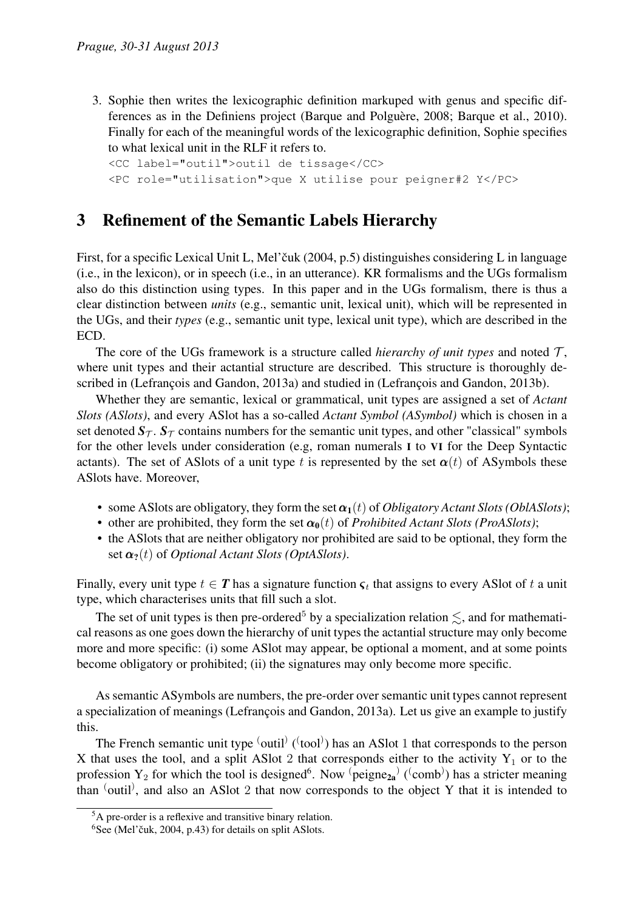3. Sophie then writes the lexicographic definition markuped with genus and specific differences as in the Definiens project (Barque and Polguère, 2008; Barque et al., 2010). Finally for each of the meaningful words of the lexicographic definition, Sophie specifies to what lexical unit in the RLF it refers to.

```
<CC label="outil">outil de tissage</CC>
<PC role="utilisation">que X utilise pour peigner#2 Y</PC>
```
### 3 Refinement of the Semantic Labels Hierarchy

First, for a specific Lexical Unit L, Mel'cuk (2004, p.5) distinguishes considering L in language (i.e., in the lexicon), or in speech (i.e., in an utterance). KR formalisms and the UGs formalism also do this distinction using types. In this paper and in the UGs formalism, there is thus a clear distinction between *units* (e.g., semantic unit, lexical unit), which will be represented in the UGs, and their *types* (e.g., semantic unit type, lexical unit type), which are described in the ECD.

The core of the UGs framework is a structure called *hierarchy of unit types* and noted  $\mathcal{T}$ , where unit types and their actantial structure are described. This structure is thoroughly described in (Lefrançois and Gandon, 2013a) and studied in (Lefrançois and Gandon, 2013b).

Whether they are semantic, lexical or grammatical, unit types are assigned a set of *Actant Slots (ASlots)*, and every ASlot has a so-called *Actant Symbol (ASymbol)* which is chosen in a set denoted  $S_{\tau}$ .  $S_{\tau}$  contains numbers for the semantic unit types, and other "classical" symbols for the other levels under consideration (e.g, roman numerals I to VI for the Deep Syntactic actants). The set of AS lots of a unit type t is represented by the set  $\alpha(t)$  of AS ymbols these ASlots have. Moreover,

- some AS lots are obligatory, they form the set  $\alpha_1(t)$  of *Obligatory Actant Slots (OblASlots)*;
- other are prohibited, they form the set  $\alpha_0(t)$  of *Prohibited Actant Slots (ProASlots)*;
- the ASlots that are neither obligatory nor prohibited are said to be optional, they form the set  $\alpha_2(t)$  of *Optional Actant Slots (OptASlots)*.

Finally, every unit type  $t \in T$  has a signature function  $\varsigma_t$  that assigns to every ASlot of t a unit type, which characterises units that fill such a slot.

The set of unit types is then pre-ordered<sup>5</sup> by a specialization relation  $\leq$ , and for mathematical reasons as one goes down the hierarchy of unit types the actantial structure may only become more and more specific: (i) some ASlot may appear, be optional a moment, and at some points become obligatory or prohibited; (ii) the signatures may only become more specific.

As semantic ASymbols are numbers, the pre-order over semantic unit types cannot represent a specialization of meanings (Lefrançois and Gandon, 2013a). Let us give an example to justify this.

The French semantic unit type  $\text{(outil)} (\text{(tool)})$  has an ASlot 1 that corresponds to the person X that uses the tool, and a split ASlot 2 that corresponds either to the activity  $Y_1$  or to the profession Y<sub>2</sub> for which the tool is designed<sup>6</sup>. Now  $\Phi$  (peigne<sub>2a</sub>) ( $\phi$  (comb)) has a stricter meaning than  $\langle$ outil), and also an ASlot 2 that now corresponds to the object Y that it is intended to

<sup>5</sup>A pre-order is a reflexive and transitive binary relation.

 $6$ See (Mel'čuk, 2004, p.43) for details on split ASlots.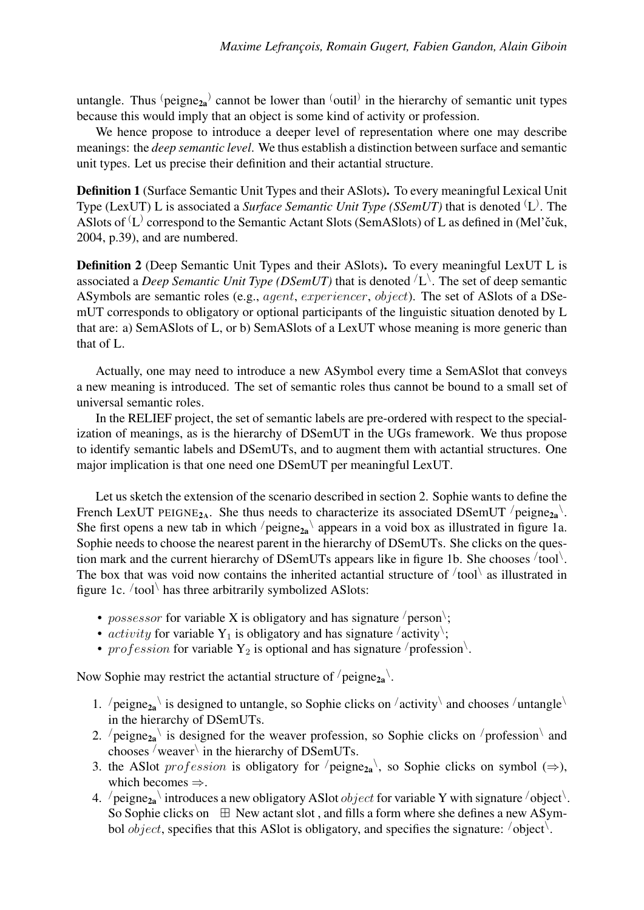untangle. Thus  $\Phi_2$  cannot be lower than  $\Phi_1$  in the hierarchy of semantic unit types because this would imply that an object is some kind of activity or profession.

We hence propose to introduce a deeper level of representation where one may describe meanings: the *deep semantic level*. We thus establish a distinction between surface and semantic unit types. Let us precise their definition and their actantial structure.

Definition 1 (Surface Semantic Unit Types and their ASlots). To every meaningful Lexical Unit Type (LexUT) L is associated a *Surface Semantic Unit Type (SSemUT)* that is denoted <sup>(</sup>L). The ASlots of  $(L)$  correspond to the Semantic Actant Slots (SemASlots) of L as defined in (Mel'čuk, 2004, p.39), and are numbered.

Definition 2 (Deep Semantic Unit Types and their ASlots). To every meaningful LexUT L is associated a *Deep Semantic Unit Type (DSemUT)* that is denoted  $\langle L \rangle$ . The set of deep semantic ASymbols are semantic roles (e.g., agent, experiencer, object). The set of ASlots of a DSemUT corresponds to obligatory or optional participants of the linguistic situation denoted by L that are: a) SemASlots of L, or b) SemASlots of a LexUT whose meaning is more generic than that of L.

Actually, one may need to introduce a new ASymbol every time a SemASlot that conveys a new meaning is introduced. The set of semantic roles thus cannot be bound to a small set of universal semantic roles.

In the RELIEF project, the set of semantic labels are pre-ordered with respect to the specialization of meanings, as is the hierarchy of DSemUT in the UGs framework. We thus propose to identify semantic labels and DSemUTs, and to augment them with actantial structures. One major implication is that one need one DSemUT per meaningful LexUT.

Let us sketch the extension of the scenario described in section 2. Sophie wants to define the French LexUT PEIGNE<sub>2A</sub>. She thus needs to characterize its associated DSemUT  $/$  peigne<sub>2a</sub> $\cdot$ . She first opens a new tab in which  $/$  peigne<sub>2a</sub> appears in a void box as illustrated in figure 1a. Sophie needs to choose the nearest parent in the hierarchy of DSemUTs. She clicks on the question mark and the current hierarchy of DSemUTs appears like in figure 1b. She chooses  $/$  tool $\setminus$ . The box that was void now contains the inherited actantial structure of  $/$  tool $\langle$  as illustrated in figure 1c. /tool\ has three arbitrarily symbolized ASlots:

- *possessor* for variable X is obligatory and has signature /person\;
- *activity* for variable Y<sub>1</sub> is obligatory and has signature  $\langle$  activity $\rangle$ ;
- profession for variable  $Y_2$  is optional and has signature / profession.

Now Sophie may restrict the actantial structure of  $/$  peigne $_{2a}$ .

- 1.  $\pi$  /peigne<sub>2a</sub> \ is designed to untangle, so Sophie clicks on  $\pi$  activity \ and chooses  $\pi$  /untangle \ in the hierarchy of DSemUTs.
- 2.  $\ell$  peigne<sub>2a</sub> is designed for the weaver profession, so Sophie clicks on  $\ell$  profession and chooses  $\sqrt{2}$  weaver $\sqrt{2}$  in the hierarchy of DSemUTs.
- 3. the ASlot *profession* is obligatory for  $\ell$  peigne<sub>2a</sub>, so Sophie clicks on symbol ( $\Rightarrow$ ), which becomes  $\Rightarrow$ .
- 4.  $\ell$  peigne<sub>2a</sub> introduces a new obligatory ASlot *object* for variable Y with signature  $\ell$  object  $\ell$ . So Sophie clicks on  $\boxplus$  New actant slot, and fills a form where she defines a new ASymbol *object*, specifies that this ASlot is obligatory, and specifies the signature:  $\theta$  object.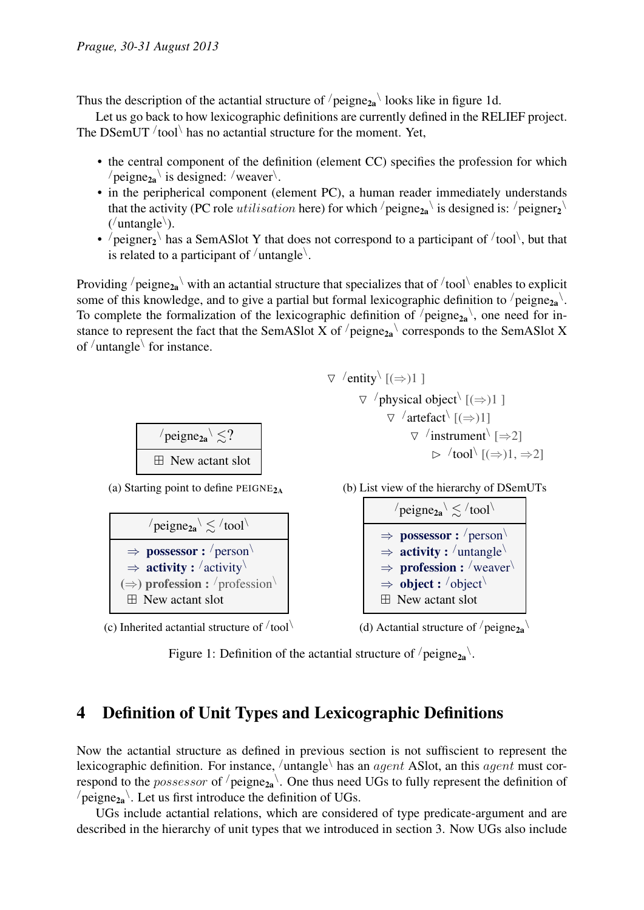Thus the description of the actantial structure of  $/$  peigne<sub>2a</sub> $\setminus$  looks like in figure 1d.

Let us go back to how lexicographic definitions are currently defined in the RELIEF project. The DSemUT  $/$  tool $\backslash$  has no actantial structure for the moment. Yet,

- the central component of the definition (element CC) specifies the profession for which  $\ell$  peigne<sub>2a</sub> $\backslash$  is designed:  $\ell$  weaver $\backslash$ .
- in the peripherical component (element PC), a human reader immediately understands that the activity (PC role *utilisation* here) for which  $/$  peigne<sub>2a</sub> $\backslash$  is designed is:  $/$  peigner<sub>2</sub> $\backslash$  $('untangle').$
- $\ell$  peigner<sub>2</sub> has a SemASlot Y that does not correspond to a participant of  $\ell$  tool, but that is related to a participant of  $/$ untangle $\backslash$ .

Providing  $/$  peigne<sub>2a</sub>  $\setminus$  with an actantial structure that specializes that of  $/$  tool  $\setminus$  enables to explicit some of this knowledge, and to give a partial but formal lexicographic definition to  $/$ peigne $_{2a}$ . To complete the formalization of the lexicographic definition of  $/$ peigne<sub>2a</sub> $\backslash$ , one need for instance to represent the fact that the SemASlot X of  $/$ peigne<sub>2a</sub> $\backslash$  corresponds to the SemASlot X of /untangle\ for instance.



(a) Starting point to define  $PEIGNE<sub>2A</sub>$ 



(c) Inherited actantial structure of  $/$  tool $\setminus$ 

 $\nabla$  /entity  $[(\Rightarrow)1]$  $\nabla$  /physical object  $\langle (\Rightarrow) 1 \rangle$  $\nabla$  /artefact  $[(\Rightarrow)1]$  $\triangledown$  /instrument  $[\Rightarrow 2]$  $\triangleright$  /tool $\setminus$  [( $\Rightarrow$ )1,  $\Rightarrow$ 2]





(d) Actantial structure of  $/$  peigne<sub>2a</sub>

Figure 1: Definition of the actantial structure of  $/$  peigne $_{2a}$ .

### 4 Definition of Unit Types and Lexicographic Definitions

Now the actantial structure as defined in previous section is not suffiscient to represent the lexicographic definition. For instance,  $/$ untangle $\setminus$  has an  $agent$  ASlot, an this  $agent$  must correspond to the *possessor* of  $/$ peigne<sub>2a</sub> $\backslash$ . One thus need UGs to fully represent the definition of  $\sqrt{\text{peigne}_{2a}}$ . Let us first introduce the definition of UGs.

UGs include actantial relations, which are considered of type predicate-argument and are described in the hierarchy of unit types that we introduced in section 3. Now UGs also include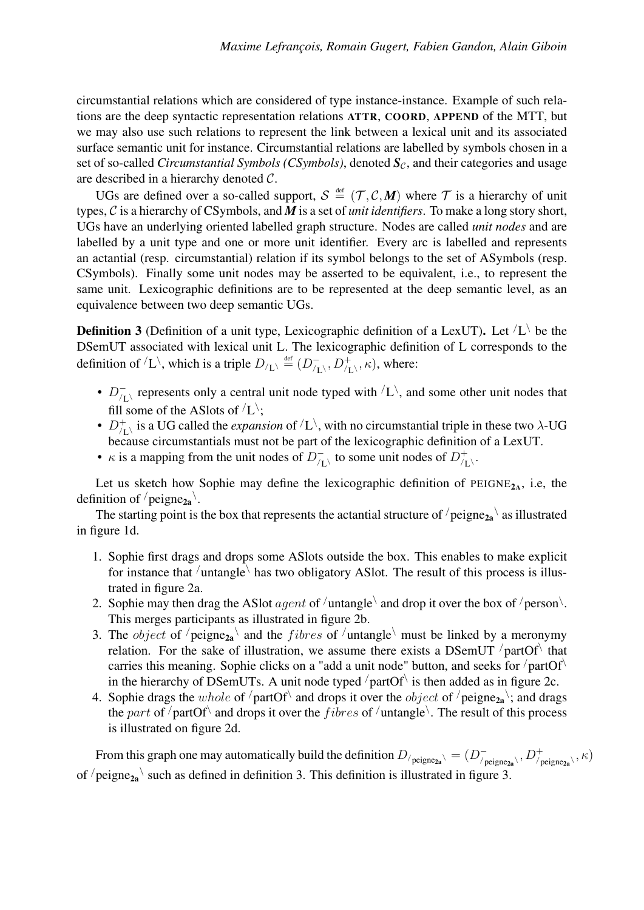circumstantial relations which are considered of type instance-instance. Example of such relations are the deep syntactic representation relations ATTR, COORD, APPEND of the MTT, but we may also use such relations to represent the link between a lexical unit and its associated surface semantic unit for instance. Circumstantial relations are labelled by symbols chosen in a set of so-called *Circumstantial Symbols (CSymbols)*, denoted  $S_c$ , and their categories and usage are described in a hierarchy denoted C.

UGs are defined over a so-called support,  $S \stackrel{\text{def}}{=} (\mathcal{T}, \mathcal{C}, M)$  where  $\mathcal T$  is a hierarchy of unit types, C is a hierarchy of CSymbols, and *M* is a set of *unit identifiers*. To make a long story short, UGs have an underlying oriented labelled graph structure. Nodes are called *unit nodes* and are labelled by a unit type and one or more unit identifier. Every arc is labelled and represents an actantial (resp. circumstantial) relation if its symbol belongs to the set of ASymbols (resp. CSymbols). Finally some unit nodes may be asserted to be equivalent, i.e., to represent the same unit. Lexicographic definitions are to be represented at the deep semantic level, as an equivalence between two deep semantic UGs.

**Definition 3** (Definition of a unit type, Lexicographic definition of a LexUT). Let  $\langle L \rangle$  be the DSemUT associated with lexical unit L. The lexicographic definition of L corresponds to the definition of  $\langle L \rangle$ , which is a triple  $D_{\langle L \rangle} \stackrel{\text{def}}{=} (D_{\langle L \rangle}^ \overline{D}_{/L\setminus}^+, D_{/L\setminus}^+, \kappa)$ , where:

- $D_{\text{H}}^{-}$  $\bar{L}_{\text{L}}$  represents only a central unit node typed with  $\bar{L}$ , and some other unit nodes that fill some of the ASlots of  $\langle L \rangle$ ;
- $\bullet$   $D_{\overline{A}}^{+}$  $\frac{1}{\sqrt{L}}$  is a UG called the *expansion* of  $\sqrt{L}$ , with no circumstantial triple in these two  $\lambda$ -UG because circumstantials must not be part of the lexicographic definition of a LexUT.
- $\kappa$  is a mapping from the unit nodes of  $D_{\mu}^ \overline{U}_{/L}$  to some unit nodes of  $D_{L}^{+}$  $\frac{1}{\sqrt{1}}$  .

Let us sketch how Sophie may define the lexicographic definition of  $PEIGNE_{2A}$ , i.e, the definition of  $/$  peigne<sub>2a</sub> $\cdot$ .

The starting point is the box that represents the actantial structure of  $/$  peigne<sub>2a</sub>  $\backslash$  as illustrated in figure 1d.

- 1. Sophie first drags and drops some ASlots outside the box. This enables to make explicit for instance that  $\ell$ untangle $\ell$  has two obligatory ASlot. The result of this process is illustrated in figure 2a.
- 2. Sophie may then drag the ASlot *agent* of  $/$ untangle $\setminus$  and drop it over the box of  $/$ person $\setminus$ . This merges participants as illustrated in figure 2b.
- 3. The *object* of  $/$ peigne<sub>2a</sub> and the *fibres* of  $/$ untangle must be linked by a meronymy relation. For the sake of illustration, we assume there exists a DSemUT  $/$ partOf $\backslash$  that carries this meaning. Sophie clicks on a "add a unit node" button, and seeks for  $\gamma$  partOf $\lambda$ in the hierarchy of DSemUTs. A unit node typed  $/$ partOf $\setminus$  is then added as in figure 2c.
- 4. Sophie drags the whole of  $\sqrt{\text{partOf}}\$  and drops it over the *object* of  $\sqrt{\text{peigne}_{2a}}\$ ; and drags the part of  $\prime$  partOf $\setminus$  and drops it over the *fibres* of  $\prime$  untangle $\setminus$ . The result of this process is illustrated on figure 2d.

From this graph one may automatically build the definition  $D_{/peigne_{2a}\setminus} = (D_{/p}^-)$  $D^+_{/\rm peigne_{2a}}\!\!\setminus\! D^+_{/\rm peigne_{2a}}\!\!\setminus\! {\kappa})$ of  $/$ peigne<sub>2a</sub> such as defined in definition 3. This definition is illustrated in figure 3.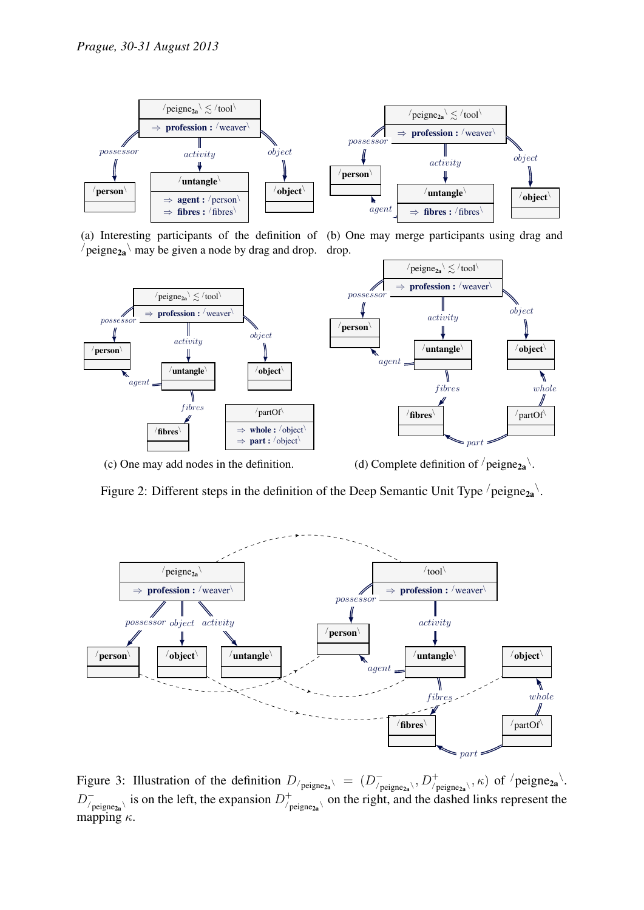

(a) Interesting participants of the definition of (b) One may merge participants using drag and  $\ell$  peigne<sub>2a</sub> may be given a node by drag and drop. drop.



(c) One may add nodes in the definition.

(d) Complete definition of  $/$  peigne<sub>2a</sub> $\backslash$ .

Figure 2: Different steps in the definition of the Deep Semantic Unit Type  $/$  peigne $_{2a}$ .



Figure 3: Illustration of the definition  $D_{/\text{peigne}_{2a}} \setminus = (D_{/f}^{-})$  $\overline{D}^+_{/\text{peigne}_{2\mathbf{a}}}\langle, D^+_{/\text{peigne}_{2\mathbf{a}}}\rangle, \kappa)$  of  $/\text{peigne}_{2\mathbf{a}}\rangle$ .  $D^-_{\prime}$  $\bar{D}_{\text{peigne}_{2a}}^+$  is on the left, the expansion  $D_{\bar{D}}^+$  $\phi_{\text{peigne}_{2a}}^{+}$  on the right, and the dashed links represent the mapping  $\kappa$ .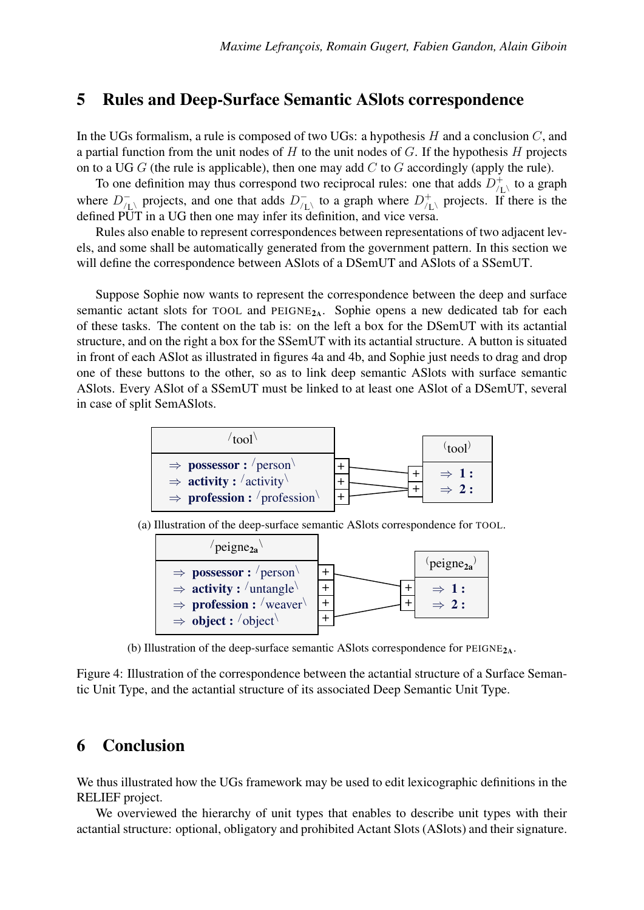#### 5 Rules and Deep-Surface Semantic ASlots correspondence

In the UGs formalism, a rule is composed of two UGs: a hypothesis  $H$  and a conclusion  $C$ , and a partial function from the unit nodes of  $H$  to the unit nodes of  $G$ . If the hypothesis  $H$  projects on to a UG  $G$  (the rule is applicable), then one may add  $C$  to  $G$  accordingly (apply the rule).

To one definition may thus correspond two reciprocal rules: one that adds  $D_{\alpha}^{+}$  $\big\langle \big\vert^+_{L\setminus}$  to a graph where  $D_{\text{f}}^ \frac{1}{\sqrt{L}}$  projects, and one that adds  $D_{\sqrt{L}}^ U_{/L}$  to a graph where  $D_{/L}^{+}$  $\bigwedge_{\text{L}}^+$  projects. If there is the defined PUT in a UG then one may infer its definition, and vice versa.

Rules also enable to represent correspondences between representations of two adjacent levels, and some shall be automatically generated from the government pattern. In this section we will define the correspondence between ASlots of a DSemUT and ASlots of a SSemUT.

Suppose Sophie now wants to represent the correspondence between the deep and surface semantic actant slots for TOOL and  $PEIGNE<sub>2A</sub>$ . Sophie opens a new dedicated tab for each of these tasks. The content on the tab is: on the left a box for the DSemUT with its actantial structure, and on the right a box for the SSemUT with its actantial structure. A button is situated in front of each ASlot as illustrated in figures 4a and 4b, and Sophie just needs to drag and drop one of these buttons to the other, so as to link deep semantic ASlots with surface semantic ASlots. Every ASlot of a SSemUT must be linked to at least one ASlot of a DSemUT, several in case of split SemASlots.



(a) Illustration of the deep-surface semantic ASlots correspondence for TOOL.

| $\text{peigne}_{2a}$                         |                      |
|----------------------------------------------|----------------------|
| $\Rightarrow$ possessor : /person            | peigne <sub>2a</sub> |
| $\Rightarrow$ <b>activity</b> : $/$ untangle | $\Rightarrow$ 1:     |
| $\Rightarrow$ <b>profession :</b> /weaver    | $\Rightarrow$ 2:     |
| $\Rightarrow$ object : /object               |                      |

(b) Illustration of the deep-surface semantic ASlots correspondence for  $PEIGNE<sub>2A</sub>$ .

Figure 4: Illustration of the correspondence between the actantial structure of a Surface Semantic Unit Type, and the actantial structure of its associated Deep Semantic Unit Type.

#### 6 Conclusion

We thus illustrated how the UGs framework may be used to edit lexicographic definitions in the RELIEF project.

We overviewed the hierarchy of unit types that enables to describe unit types with their actantial structure: optional, obligatory and prohibited Actant Slots (ASlots) and their signature.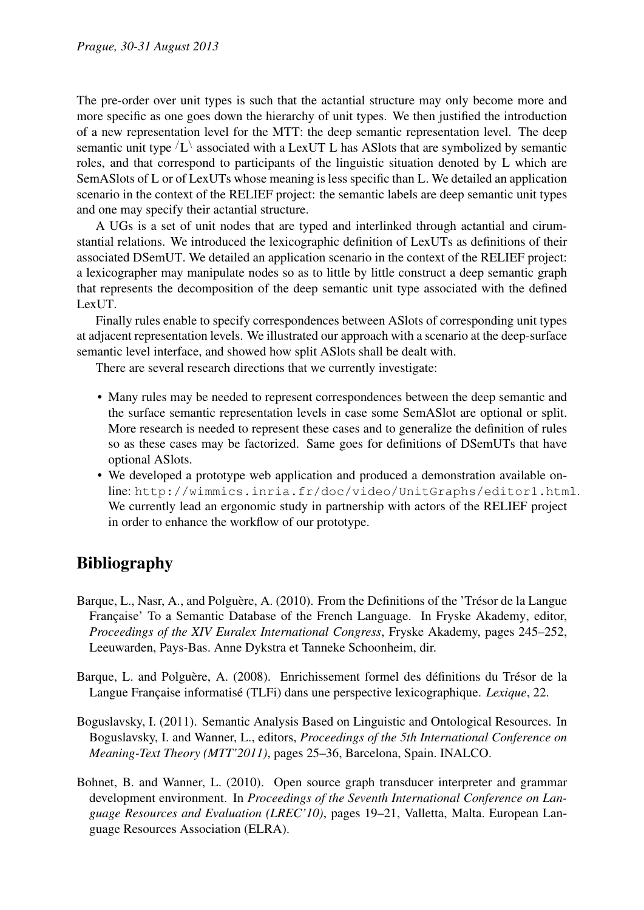The pre-order over unit types is such that the actantial structure may only become more and more specific as one goes down the hierarchy of unit types. We then justified the introduction of a new representation level for the MTT: the deep semantic representation level. The deep semantic unit type  $\langle L \rangle$  associated with a LexUT L has ASlots that are symbolized by semantic roles, and that correspond to participants of the linguistic situation denoted by L which are SemASlots of L or of LexUTs whose meaning is less specific than L. We detailed an application scenario in the context of the RELIEF project: the semantic labels are deep semantic unit types and one may specify their actantial structure.

A UGs is a set of unit nodes that are typed and interlinked through actantial and cirumstantial relations. We introduced the lexicographic definition of LexUTs as definitions of their associated DSemUT. We detailed an application scenario in the context of the RELIEF project: a lexicographer may manipulate nodes so as to little by little construct a deep semantic graph that represents the decomposition of the deep semantic unit type associated with the defined LexUT.

Finally rules enable to specify correspondences between ASlots of corresponding unit types at adjacent representation levels. We illustrated our approach with a scenario at the deep-surface semantic level interface, and showed how split ASlots shall be dealt with.

There are several research directions that we currently investigate:

- Many rules may be needed to represent correspondences between the deep semantic and the surface semantic representation levels in case some SemASlot are optional or split. More research is needed to represent these cases and to generalize the definition of rules so as these cases may be factorized. Same goes for definitions of DSemUTs that have optional ASlots.
- We developed a prototype web application and produced a demonstration available online: <http://wimmics.inria.fr/doc/video/UnitGraphs/editor1.html>. We currently lead an ergonomic study in partnership with actors of the RELIEF project in order to enhance the workflow of our prototype.

## Bibliography

- Barque, L., Nasr, A., and Polguère, A. (2010). From the Definitions of the 'Trésor de la Langue Française' To a Semantic Database of the French Language. In Fryske Akademy, editor, *Proceedings of the XIV Euralex International Congress*, Fryske Akademy, pages 245–252, Leeuwarden, Pays-Bas. Anne Dykstra et Tanneke Schoonheim, dir.
- Barque, L. and Polguère, A. (2008). Enrichissement formel des définitions du Trésor de la Langue Française informatisé (TLFi) dans une perspective lexicographique. *Lexique*, 22.
- Boguslavsky, I. (2011). Semantic Analysis Based on Linguistic and Ontological Resources. In Boguslavsky, I. and Wanner, L., editors, *Proceedings of the 5th International Conference on Meaning-Text Theory (MTT'2011)*, pages 25–36, Barcelona, Spain. INALCO.
- Bohnet, B. and Wanner, L. (2010). Open source graph transducer interpreter and grammar development environment. In *Proceedings of the Seventh International Conference on Language Resources and Evaluation (LREC'10)*, pages 19–21, Valletta, Malta. European Language Resources Association (ELRA).